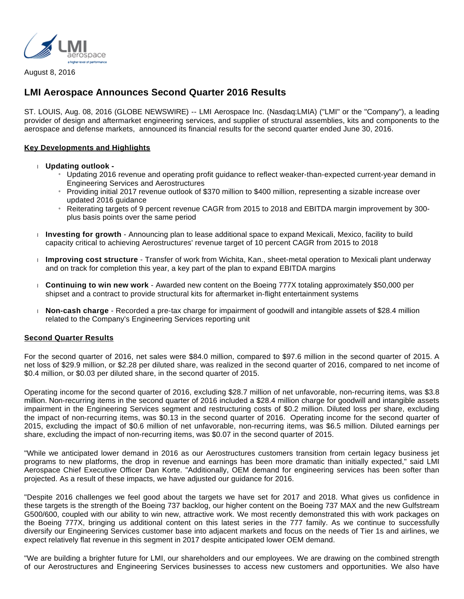

August 8, 2016

# **LMI Aerospace Announces Second Quarter 2016 Results**

ST. LOUIS, Aug. 08, 2016 (GLOBE NEWSWIRE) -- LMI Aerospace Inc. (Nasdaq:LMIA) ("LMI" or the "Company"), a leading provider of design and aftermarket engineering services, and supplier of structural assemblies, kits and components to the aerospace and defense markets, announced its financial results for the second quarter ended June 30, 2016.

## **Key Developments and Highlights**

- **Updating outlook -**
	- » Updating 2016 revenue and operating profit guidance to reflect weaker-than-expected current-year demand in Engineering Services and Aerostructures
	- » Providing initial 2017 revenue outlook of \$370 million to \$400 million, representing a sizable increase over updated 2016 guidance
	- » Reiterating targets of 9 percent revenue CAGR from 2015 to 2018 and EBITDA margin improvement by 300 plus basis points over the same period
- **Investing for growth** Announcing plan to lease additional space to expand Mexicali, Mexico, facility to build capacity critical to achieving Aerostructures' revenue target of 10 percent CAGR from 2015 to 2018
- **Improving cost structure** Transfer of work from Wichita, Kan., sheet-metal operation to Mexicali plant underway and on track for completion this year, a key part of the plan to expand EBITDA margins
- **Continuing to win new work**  Awarded new content on the Boeing 777X totaling approximately \$50,000 per shipset and a contract to provide structural kits for aftermarket in-flight entertainment systems
- **Non-cash charge** Recorded a pre-tax charge for impairment of goodwill and intangible assets of \$28.4 million related to the Company's Engineering Services reporting unit

#### **Second Quarter Results**

For the second quarter of 2016, net sales were \$84.0 million, compared to \$97.6 million in the second quarter of 2015. A net loss of \$29.9 million, or \$2.28 per diluted share, was realized in the second quarter of 2016, compared to net income of \$0.4 million, or \$0.03 per diluted share, in the second quarter of 2015.

Operating income for the second quarter of 2016, excluding \$28.7 million of net unfavorable, non-recurring items, was \$3.8 million. Non-recurring items in the second quarter of 2016 included a \$28.4 million charge for goodwill and intangible assets impairment in the Engineering Services segment and restructuring costs of \$0.2 million. Diluted loss per share, excluding the impact of non-recurring items, was \$0.13 in the second quarter of 2016. Operating income for the second quarter of 2015, excluding the impact of \$0.6 million of net unfavorable, non-recurring items, was \$6.5 million. Diluted earnings per share, excluding the impact of non-recurring items, was \$0.07 in the second quarter of 2015.

"While we anticipated lower demand in 2016 as our Aerostructures customers transition from certain legacy business jet programs to new platforms, the drop in revenue and earnings has been more dramatic than initially expected," said LMI Aerospace Chief Executive Officer Dan Korte. "Additionally, OEM demand for engineering services has been softer than projected. As a result of these impacts, we have adjusted our guidance for 2016.

"Despite 2016 challenges we feel good about the targets we have set for 2017 and 2018. What gives us confidence in these targets is the strength of the Boeing 737 backlog, our higher content on the Boeing 737 MAX and the new Gulfstream G500/600, coupled with our ability to win new, attractive work. We most recently demonstrated this with work packages on the Boeing 777X, bringing us additional content on this latest series in the 777 family. As we continue to successfully diversify our Engineering Services customer base into adjacent markets and focus on the needs of Tier 1s and airlines, we expect relatively flat revenue in this segment in 2017 despite anticipated lower OEM demand.

"We are building a brighter future for LMI, our shareholders and our employees. We are drawing on the combined strength of our Aerostructures and Engineering Services businesses to access new customers and opportunities. We also have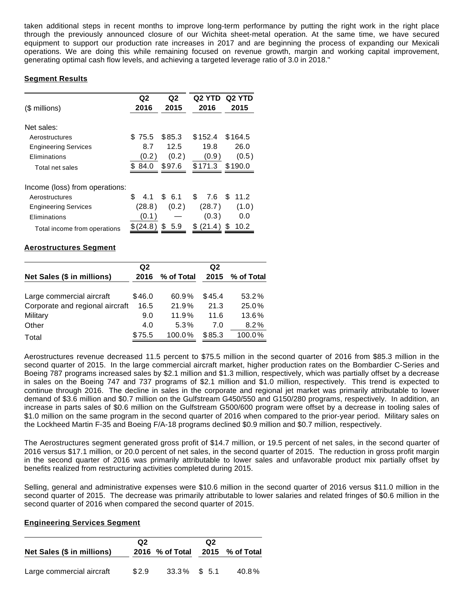taken additional steps in recent months to improve long-term performance by putting the right work in the right place through the previously announced closure of our Wichita sheet-metal operation. At the same time, we have secured equipment to support our production rate increases in 2017 and are beginning the process of expanding our Mexicali operations. We are doing this while remaining focused on revenue growth, margin and working capital improvement, generating optimal cash flow levels, and achieving a targeted leverage ratio of 3.0 in 2018."

# **Segment Results**

| (\$ millions)                  | Q2<br>2016 | Q2<br>2015 | Q <sub>2</sub> YTD<br>2016 | Q2 YTD<br>2015 |
|--------------------------------|------------|------------|----------------------------|----------------|
|                                |            |            |                            |                |
| Net sales:                     |            |            |                            |                |
| Aerostructures                 | \$75.5     | \$85.3     | \$152.4                    | \$164.5        |
| <b>Engineering Services</b>    | 8.7        | 12.5       | 19.8                       | 26.0           |
| Eliminations                   | (0.2)      | (0.2)      | (0.9)                      | (0.5)          |
| Total net sales                | \$84.0     | \$97.6     | \$171.3                    | \$190.0        |
| Income (loss) from operations: |            |            |                            |                |
| Aerostructures                 | £.<br>4.1  | \$6.1      | \$<br>7.6                  | S.<br>11.2     |
| <b>Engineering Services</b>    | (28.8)     | (0.2)      | (28.7)                     | (1.0)          |
| Eliminations                   | (0.1 )     |            | (0.3)                      | 0.0            |
| Total income from operations   | \$(24.8)   | S<br>5.9   | S<br>(21.4)                | 10.2           |

# **Aerostructures Segment**

|                                 | Q <sub>2</sub> |            | Q <sub>2</sub> |                 |
|---------------------------------|----------------|------------|----------------|-----------------|
| Net Sales (\$ in millions)      | 2016           | % of Total |                | 2015 % of Total |
|                                 |                |            |                |                 |
| Large commercial aircraft       | \$46.0         | 60.9%      | \$45.4         | 53.2%           |
| Corporate and regional aircraft | 16.5           | 21.9%      | 21.3           | 25.0%           |
| Military                        | 9.0            | 11.9%      | 11.6           | $13.6\%$        |
| Other                           | 4.0            | 5.3%       | 7.0            | 8.2%            |
| Total                           | \$75.5         | 100.0%     | \$85.3         | 100.0%          |

Aerostructures revenue decreased 11.5 percent to \$75.5 million in the second quarter of 2016 from \$85.3 million in the second quarter of 2015. In the large commercial aircraft market, higher production rates on the Bombardier C-Series and Boeing 787 programs increased sales by \$2.1 million and \$1.3 million, respectively, which was partially offset by a decrease in sales on the Boeing 747 and 737 programs of \$2.1 million and \$1.0 million, respectively. This trend is expected to continue through 2016. The decline in sales in the corporate and regional jet market was primarily attributable to lower demand of \$3.6 million and \$0.7 million on the Gulfstream G450/550 and G150/280 programs, respectively. In addition, an increase in parts sales of \$0.6 million on the Gulfstream G500/600 program were offset by a decrease in tooling sales of \$1.0 million on the same program in the second quarter of 2016 when compared to the prior-year period. Military sales on the Lockheed Martin F-35 and Boeing F/A-18 programs declined \$0.9 million and \$0.7 million, respectively.

The Aerostructures segment generated gross profit of \$14.7 million, or 19.5 percent of net sales, in the second quarter of 2016 versus \$17.1 million, or 20.0 percent of net sales, in the second quarter of 2015. The reduction in gross profit margin in the second quarter of 2016 was primarily attributable to lower sales and unfavorable product mix partially offset by benefits realized from restructuring activities completed during 2015.

Selling, general and administrative expenses were \$10.6 million in the second quarter of 2016 versus \$11.0 million in the second quarter of 2015. The decrease was primarily attributable to lower salaries and related fringes of \$0.6 million in the second quarter of 2016 when compared the second quarter of 2015.

### **Engineering Services Segment**

| Net Sales (\$ in millions) | Q2    | 2016 % of Total | Q2 | 2015 % of Total |
|----------------------------|-------|-----------------|----|-----------------|
| Large commercial aircraft  | \$2.9 | $33.3\%$ \$ 5.1 |    | 40.8%           |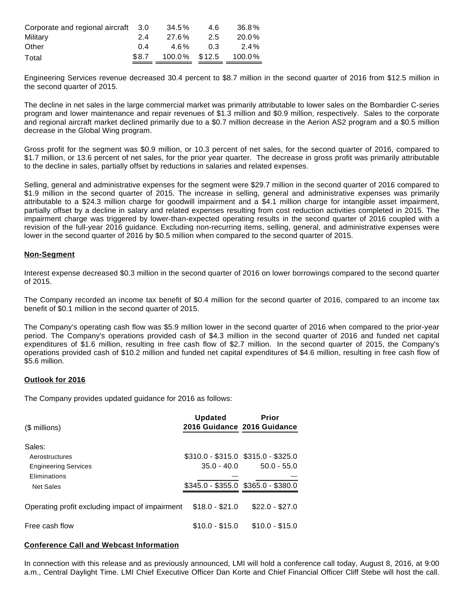| Corporate and regional aircraft 3.0 |       | 34.5%         | 4.6 | 36.8%    |
|-------------------------------------|-------|---------------|-----|----------|
| Military                            | 2.4   | 27.6%         | 2.5 | $20.0\%$ |
| Other                               | 0 4   | 4.6%          | 0 3 | 2.4%     |
| Total                               | \$8.7 | 100.0% \$12.5 |     | 100.0%   |

Engineering Services revenue decreased 30.4 percent to \$8.7 million in the second quarter of 2016 from \$12.5 million in the second quarter of 2015.

The decline in net sales in the large commercial market was primarily attributable to lower sales on the Bombardier C-series program and lower maintenance and repair revenues of \$1.3 million and \$0.9 million, respectively. Sales to the corporate and regional aircraft market declined primarily due to a \$0.7 million decrease in the Aerion AS2 program and a \$0.5 million decrease in the Global Wing program.

Gross profit for the segment was \$0.9 million, or 10.3 percent of net sales, for the second quarter of 2016, compared to \$1.7 million, or 13.6 percent of net sales, for the prior year quarter. The decrease in gross profit was primarily attributable to the decline in sales, partially offset by reductions in salaries and related expenses.

Selling, general and administrative expenses for the segment were \$29.7 million in the second quarter of 2016 compared to \$1.9 million in the second quarter of 2015. The increase in selling, general and administrative expenses was primarily attributable to a \$24.3 million charge for goodwill impairment and a \$4.1 million charge for intangible asset impairment, partially offset by a decline in salary and related expenses resulting from cost reduction activities completed in 2015. The impairment charge was triggered by lower-than-expected operating results in the second quarter of 2016 coupled with a revision of the full-year 2016 guidance. Excluding non-recurring items, selling, general, and administrative expenses were lower in the second quarter of 2016 by \$0.5 million when compared to the second quarter of 2015.

#### **Non-Segment**

Interest expense decreased \$0.3 million in the second quarter of 2016 on lower borrowings compared to the second quarter of 2015.

The Company recorded an income tax benefit of \$0.4 million for the second quarter of 2016, compared to an income tax benefit of \$0.1 million in the second quarter of 2015.

The Company's operating cash flow was \$5.9 million lower in the second quarter of 2016 when compared to the prior-year period. The Company's operations provided cash of \$4.3 million in the second quarter of 2016 and funded net capital expenditures of \$1.6 million, resulting in free cash flow of \$2.7 million. In the second quarter of 2015, the Company's operations provided cash of \$10.2 million and funded net capital expenditures of \$4.6 million, resulting in free cash flow of \$5.6 million.

#### **Outlook for 2016**

The Company provides updated guidance for 2016 as follows:

| $$$ millions)                                           | <b>Updated</b>  | Prior<br>2016 Guidance 2016 Guidance                 |
|---------------------------------------------------------|-----------------|------------------------------------------------------|
| Sales:<br>Aerostructures<br><b>Engineering Services</b> | 35.0 - 40.0     | $$310.0 - $315.0$ $$315.0 - $325.0$<br>$50.0 - 55.0$ |
| <b>Fliminations</b><br>Net Sales                        |                 | $$345.0 - $355.0$ $$365.0 - $380.0$                  |
| Operating profit excluding impact of impairment         | $$18.0 - $21.0$ | $$22.0 - $27.0$                                      |
| Free cash flow                                          | $$10.0 - $15.0$ | $$10.0 - $15.0$                                      |

## **Conference Call and Webcast Information**

In connection with this release and as previously announced, LMI will hold a conference call today, August 8, 2016, at 9:00 a.m., Central Daylight Time. LMI Chief Executive Officer Dan Korte and Chief Financial Officer Cliff Stebe will host the call.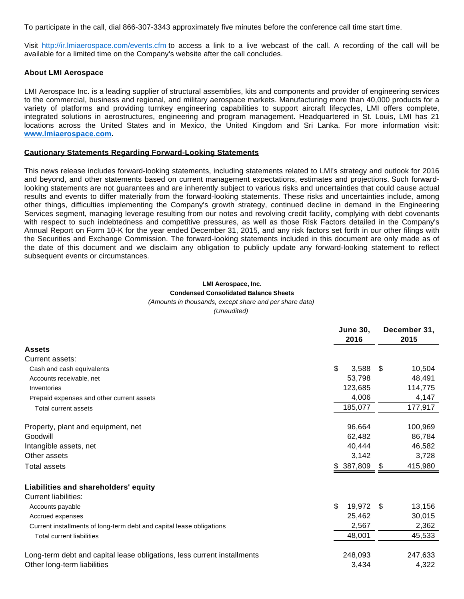To participate in the call, dial 866-307-3343 approximately five minutes before the conference call time start time.

Visit [http://ir.lmiaerospace.com/events.cfm](https://www.globenewswire.com/Tracker?data=75OrUxNcDUZmLJy4l2rv_gCoC6hNWBs-kDKZt389vvbBetSb5qgHeteb6EU3-oLXObeDdBQUkUku4PQ8KxP8Fb1wUKm4mLRYDZzr5SFo2mNt8BlusfrOgg0O8WHx0gjiOPQ-Kj56fW7oo3OL53WeYg==) to access a link to a live webcast of the call. A recording of the call will be available for a limited time on the Company's website after the call concludes.

#### **About LMI Aerospace**

LMI Aerospace Inc. is a leading supplier of structural assemblies, kits and components and provider of engineering services to the commercial, business and regional, and military aerospace markets. Manufacturing more than 40,000 products for a variety of platforms and providing turnkey engineering capabilities to support aircraft lifecycles, LMI offers complete, integrated solutions in aerostructures, engineering and program management. Headquartered in St. Louis, LMI has 21 locations across the United States and in Mexico, the United Kingdom and Sri Lanka. For more information visit: **[www.lmiaerospace.com](https://www.globenewswire.com/Tracker?data=F0Ga_pfSi3-ZbzU4iZiJ1D0Dl3fXvVHLghrWn09gS22hCSRVsAiLoqHb0gfu4NjJOFUMQjjJukkXIVGBdU9kmvM4_rhDlOkmF59FibR5VeM=).**

#### **Cautionary Statements Regarding Forward-Looking Statements**

This news release includes forward-looking statements, including statements related to LMI's strategy and outlook for 2016 and beyond, and other statements based on current management expectations, estimates and projections. Such forwardlooking statements are not guarantees and are inherently subject to various risks and uncertainties that could cause actual results and events to differ materially from the forward-looking statements. These risks and uncertainties include, among other things, difficulties implementing the Company's growth strategy, continued decline in demand in the Engineering Services segment, managing leverage resulting from our notes and revolving credit facility, complying with debt covenants with respect to such indebtedness and competitive pressures, as well as those Risk Factors detailed in the Company's Annual Report on Form 10-K for the year ended December 31, 2015, and any risk factors set forth in our other filings with the Securities and Exchange Commission. The forward-looking statements included in this document are only made as of the date of this document and we disclaim any obligation to publicly update any forward-looking statement to reflect subsequent events or circumstances.

# **LMI Aerospace, Inc. Condensed Consolidated Balance Sheets**

(Amounts in thousands, except share and per share data)

(Unaudited)

|                                                                         | <b>June 30,</b><br>2016 | December 31,<br>2015 |  |  |
|-------------------------------------------------------------------------|-------------------------|----------------------|--|--|
| <b>Assets</b>                                                           |                         |                      |  |  |
| Current assets:                                                         |                         |                      |  |  |
| Cash and cash equivalents                                               | \$<br>3,588             | - \$<br>10,504       |  |  |
| Accounts receivable, net                                                | 53,798                  | 48,491               |  |  |
| Inventories                                                             | 123,685                 | 114,775              |  |  |
| Prepaid expenses and other current assets                               | 4,006                   | 4,147                |  |  |
| Total current assets                                                    | 185,077                 | 177,917              |  |  |
| Property, plant and equipment, net                                      | 96,664                  | 100,969              |  |  |
| Goodwill                                                                | 62,482                  | 86,784               |  |  |
| Intangible assets, net                                                  | 40,444                  | 46,582               |  |  |
| Other assets                                                            | 3,142                   | 3,728                |  |  |
| <b>Total assets</b>                                                     | 387,809<br>\$.          | 415,980<br>\$        |  |  |
| Liabilities and shareholders' equity                                    |                         |                      |  |  |
| Current liabilities:                                                    |                         |                      |  |  |
| Accounts payable                                                        | \$<br>19,972            | - \$<br>13,156       |  |  |
| Accrued expenses                                                        | 25,462                  | 30,015               |  |  |
| Current installments of long-term debt and capital lease obligations    | 2,567                   | 2,362                |  |  |
| <b>Total current liabilities</b>                                        | 48,001                  | 45,533               |  |  |
| Long-term debt and capital lease obligations, less current installments | 248,093                 | 247,633              |  |  |
| Other long-term liabilities                                             | 3,434                   | 4,322                |  |  |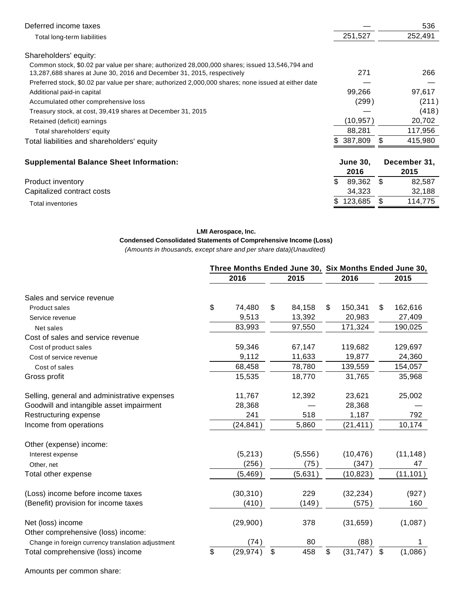| Deferred income taxes                                                                                                                                                   |                         | 536                  |
|-------------------------------------------------------------------------------------------------------------------------------------------------------------------------|-------------------------|----------------------|
| Total long-term liabilities                                                                                                                                             | 251,527                 | 252,491              |
| Shareholders' equity:                                                                                                                                                   |                         |                      |
| Common stock, \$0.02 par value per share; authorized 28,000,000 shares; issued 13,546,794 and<br>13,287,688 shares at June 30, 2016 and December 31, 2015, respectively | 271                     | 266                  |
| Preferred stock, \$0.02 par value per share; authorized 2,000,000 shares; none issued at either date                                                                    |                         |                      |
| Additional paid-in capital                                                                                                                                              | 99,266                  | 97,617               |
| Accumulated other comprehensive loss                                                                                                                                    | (299)                   | (211)                |
| Treasury stock, at cost, 39,419 shares at December 31, 2015                                                                                                             |                         | (418)                |
| Retained (deficit) earnings                                                                                                                                             | (10,957)                | 20,702               |
| Total shareholders' equity                                                                                                                                              | 88,281                  | 117,956              |
| Total liabilities and shareholders' equity                                                                                                                              | \$387,809               | \$<br>415,980        |
| <b>Supplemental Balance Sheet Information:</b>                                                                                                                          | <b>June 30,</b><br>2016 | December 31,<br>2015 |
| Product inventory                                                                                                                                                       | \$<br>89,362            | \$<br>82,587         |
| Capitalized contract costs                                                                                                                                              | 34,323                  | 32,188               |
| Total inventories                                                                                                                                                       | 123,685                 | \$<br>114,775        |

#### **LMI Aerospace, Inc.**

# **Condensed Consolidated Statements of Comprehensive Income (Loss)**

(Amounts in thousands, except share and per share data)(Unaudited)

|                                                         | Three Months Ended June 30, Six Months Ended June 30, |    |         |    |           |    |           |  |  |
|---------------------------------------------------------|-------------------------------------------------------|----|---------|----|-----------|----|-----------|--|--|
|                                                         | 2016                                                  |    | 2015    |    | 2016      |    | 2015      |  |  |
| Sales and service revenue                               |                                                       |    |         |    |           |    |           |  |  |
| Product sales                                           | \$<br>74,480                                          | \$ | 84,158  | \$ | 150,341   | \$ | 162,616   |  |  |
| Service revenue                                         | 9,513                                                 |    | 13,392  |    | 20,983    |    | 27,409    |  |  |
| Net sales                                               | 83,993                                                |    | 97,550  |    | 171,324   |    | 190,025   |  |  |
| Cost of sales and service revenue                       |                                                       |    |         |    |           |    |           |  |  |
| Cost of product sales                                   | 59,346                                                |    | 67,147  |    | 119,682   |    | 129,697   |  |  |
| Cost of service revenue                                 | 9,112                                                 |    | 11,633  |    | 19,877    |    | 24,360    |  |  |
| Cost of sales                                           | 68,458                                                |    | 78,780  |    | 139,559   |    | 154,057   |  |  |
| Gross profit                                            | 15,535                                                |    | 18,770  |    | 31,765    |    | 35,968    |  |  |
| Selling, general and administrative expenses            | 11,767                                                |    | 12,392  |    | 23,621    |    | 25,002    |  |  |
| Goodwill and intangible asset impairment                | 28,368                                                |    |         |    | 28,368    |    |           |  |  |
| Restructuring expense                                   | 241                                                   |    | 518     |    | 1,187     |    | 792       |  |  |
| Income from operations                                  | (24, 841)                                             |    | 5,860   |    | (21, 411) |    | 10,174    |  |  |
| Other (expense) income:                                 |                                                       |    |         |    |           |    |           |  |  |
| Interest expense                                        | (5, 213)                                              |    | (5,556) |    | (10, 476) |    | (11, 148) |  |  |
| Other, net                                              | (256)                                                 |    | (75)    |    | (347)     |    | 47        |  |  |
| Total other expense                                     | (5, 469)                                              |    | (5,631) |    | (10, 823) |    | (11, 101) |  |  |
| (Loss) income before income taxes                       | (30, 310)                                             |    | 229     |    | (32, 234) |    | (927)     |  |  |
| (Benefit) provision for income taxes                    | (410)                                                 |    | (149)   |    | (575)     |    | 160       |  |  |
| Net (loss) income<br>Other comprehensive (loss) income: | (29,900)                                              |    | 378     |    | (31, 659) |    | (1,087)   |  |  |
| Change in foreign currency translation adjustment       | (74)                                                  |    | 80      |    | (88)      |    | 1.        |  |  |
| Total comprehensive (loss) income                       | \$<br>(29, 974)                                       | \$ | 458     | \$ | (31, 747) | \$ | (1,086)   |  |  |

Amounts per common share: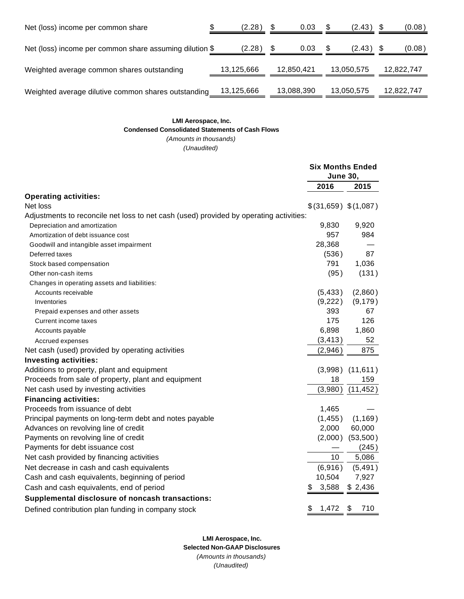| Net (loss) income per common share                      | (2.28)     |      | 0.03       | S    | $(2.43)$ \$ | (0.08)     |
|---------------------------------------------------------|------------|------|------------|------|-------------|------------|
| Net (loss) income per common share assuming dilution \$ | (2.28)     | - \$ | 0.03       | - \$ | $(2.43)$ \$ | (0.08)     |
| Weighted average common shares outstanding              | 13,125,666 |      | 12,850,421 |      | 13,050,575  | 12,822,747 |
| Weighted average dilutive common shares outstanding     | 13,125,666 |      | 13,088,390 |      | 13,050,575  | 12,822,747 |

### **LMI Aerospace, Inc. Condensed Consolidated Statements of Cash Flows** (Amounts in thousands)

(Unaudited)

|                                                                                        | <b>Six Months Ended</b><br><b>June 30,</b> |                      |  |  |
|----------------------------------------------------------------------------------------|--------------------------------------------|----------------------|--|--|
|                                                                                        | 2016                                       | 2015                 |  |  |
| <b>Operating activities:</b>                                                           |                                            |                      |  |  |
| Net loss                                                                               | \$(31,659) \$(1,087)                       |                      |  |  |
| Adjustments to reconcile net loss to net cash (used) provided by operating activities: |                                            |                      |  |  |
| Depreciation and amortization                                                          | 9,830                                      | 9,920                |  |  |
| Amortization of debt issuance cost                                                     | 957                                        | 984                  |  |  |
| Goodwill and intangible asset impairment                                               | 28,368                                     |                      |  |  |
| Deferred taxes                                                                         | (536)                                      | 87                   |  |  |
| Stock based compensation                                                               | 791                                        | 1,036                |  |  |
| Other non-cash items                                                                   | (95)                                       | (131)                |  |  |
| Changes in operating assets and liabilities:                                           |                                            |                      |  |  |
| Accounts receivable                                                                    | (5, 433)                                   | (2,860)              |  |  |
| Inventories                                                                            | (9,222)                                    | (9, 179)             |  |  |
| Prepaid expenses and other assets                                                      | 393                                        | 67                   |  |  |
| Current income taxes                                                                   | 175                                        | 126                  |  |  |
| Accounts payable                                                                       | 6,898                                      | 1,860                |  |  |
| Accrued expenses                                                                       | (3, 413)                                   | 52                   |  |  |
| Net cash (used) provided by operating activities                                       | (2,946)                                    | 875                  |  |  |
| <b>Investing activities:</b>                                                           |                                            |                      |  |  |
| Additions to property, plant and equipment                                             |                                            | $(3,998)$ $(11,611)$ |  |  |
| Proceeds from sale of property, plant and equipment                                    | 18                                         | 159                  |  |  |
| Net cash used by investing activities                                                  | (3,980)                                    | (11, 452)            |  |  |
| <b>Financing activities:</b>                                                           |                                            |                      |  |  |
| Proceeds from issuance of debt                                                         | 1,465                                      |                      |  |  |
| Principal payments on long-term debt and notes payable                                 | (1, 455)                                   | (1, 169)             |  |  |
| Advances on revolving line of credit                                                   | 2,000                                      | 60,000               |  |  |
| Payments on revolving line of credit                                                   |                                            | $(2,000)$ $(53,500)$ |  |  |
| Payments for debt issuance cost                                                        |                                            | (245)                |  |  |
| Net cash provided by financing activities                                              | 10                                         | 5,086                |  |  |
| Net decrease in cash and cash equivalents                                              | (6,916)                                    | (5, 491)             |  |  |
| Cash and cash equivalents, beginning of period                                         | 10,504                                     | 7,927                |  |  |
| Cash and cash equivalents, end of period                                               | 3,588<br>\$                                | \$2,436              |  |  |
| Supplemental disclosure of noncash transactions:                                       |                                            |                      |  |  |
| Defined contribution plan funding in company stock                                     | \$<br>1,472                                | \$<br>710            |  |  |

**LMI Aerospace, Inc. Selected Non-GAAP Disclosures** (Amounts in thousands) (Unaudited)